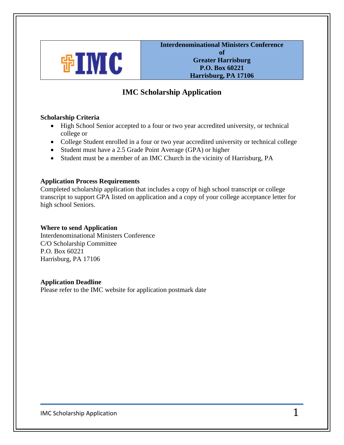

 **Interdenominational Ministers Conference of Greater Harrisburg P.O. Box 60221 Harrisburg, PA 17106**

# **IMC Scholarship Application**

## **Scholarship Criteria**

- High School Senior accepted to a four or two year accredited university, or technical college or
- College Student enrolled in a four or two year accredited university or technical college
- Student must have a 2.5 Grade Point Average (GPA) or higher
- Student must be a member of an IMC Church in the vicinity of Harrisburg, PA

#### **Application Process Requirements**

Completed scholarship application that includes a copy of high school transcript or college transcript to support GPA listed on application and a copy of your college acceptance letter for high school Seniors.

#### **Where to send Application**

Interdenominational Ministers Conference C/O Scholarship Committee P.O. Box 60221 Harrisburg, PA 17106

#### **Application Deadline**

Please refer to the IMC website for application postmark date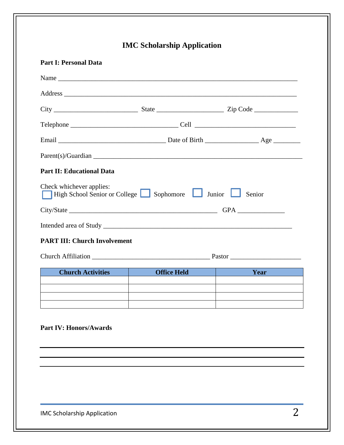|                                     | <b>IMC Scholarship Application</b>               |        |  |  |  |
|-------------------------------------|--------------------------------------------------|--------|--|--|--|
| <b>Part I: Personal Data</b>        |                                                  |        |  |  |  |
|                                     |                                                  |        |  |  |  |
|                                     |                                                  |        |  |  |  |
|                                     |                                                  |        |  |  |  |
|                                     |                                                  |        |  |  |  |
|                                     |                                                  |        |  |  |  |
|                                     |                                                  |        |  |  |  |
| <b>Part II: Educational Data</b>    |                                                  |        |  |  |  |
| Check whichever applies:            | High School Senior or College Sophomore Junior   | Senior |  |  |  |
|                                     |                                                  |        |  |  |  |
|                                     |                                                  |        |  |  |  |
| <b>PART III: Church Involvement</b> |                                                  |        |  |  |  |
|                                     |                                                  |        |  |  |  |
| <b>Church Activities</b>            | <b>Office Held</b><br>and the state of the state | Year   |  |  |  |
|                                     |                                                  |        |  |  |  |
|                                     |                                                  |        |  |  |  |
| <b>Part IV: Honors/Awards</b>       |                                                  |        |  |  |  |
|                                     |                                                  |        |  |  |  |
|                                     |                                                  |        |  |  |  |
|                                     |                                                  |        |  |  |  |
|                                     |                                                  |        |  |  |  |
|                                     |                                                  |        |  |  |  |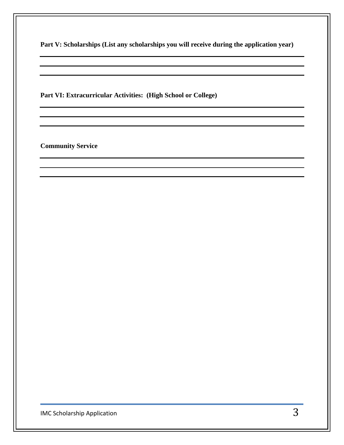**Part VI: Extracurricular Activities: (High School or College)**

**Community Service**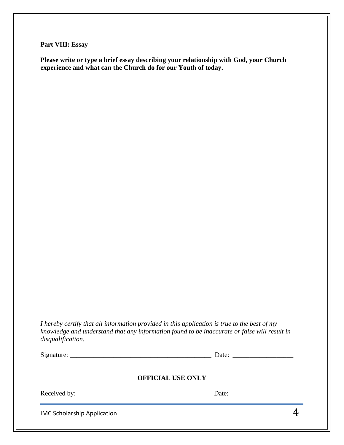**Part VIII: Essay**

**Please write or type a brief essay describing your relationship with God, your Church experience and what can the Church do for our Youth of today.**

*I hereby certify that all information provided in this application is true to the best of my knowledge and understand that any information found to be inaccurate or false will result in disqualification.*

|                                    |                          | Date: $\qquad \qquad$ |
|------------------------------------|--------------------------|-----------------------|
|                                    | <b>OFFICIAL USE ONLY</b> |                       |
|                                    |                          | Date: $\qquad \qquad$ |
| <b>IMC Scholarship Application</b> |                          |                       |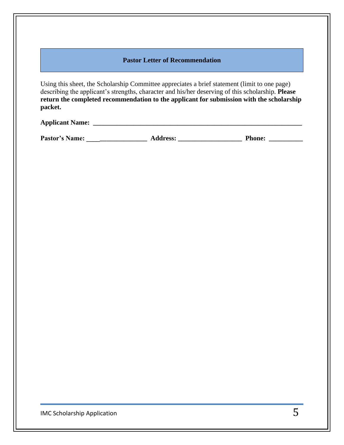#### **Pastor Letter of Recommendation**

Using this sheet, the Scholarship Committee appreciates a brief statement (limit to one page) describing the applicant's strengths, character and his/her deserving of this scholarship. **Please return the completed recommendation to the applicant for submission with the scholarship packet.**

## **Applicant Name: \_\_\_\_\_\_\_\_\_\_\_\_\_\_\_\_\_\_\_\_\_\_\_\_\_\_\_\_\_\_\_\_\_\_\_\_\_\_\_\_\_\_\_\_\_\_\_\_\_\_\_\_\_\_\_\_\_\_\_\_\_\_**

**Pastor's Name: \_\_\_\_\_\_\_\_\_\_\_\_\_\_\_\_\_\_ Address: \_\_\_\_\_\_\_\_\_\_\_\_\_\_\_\_\_\_\_ Phone: \_\_\_\_\_\_\_\_\_\_**